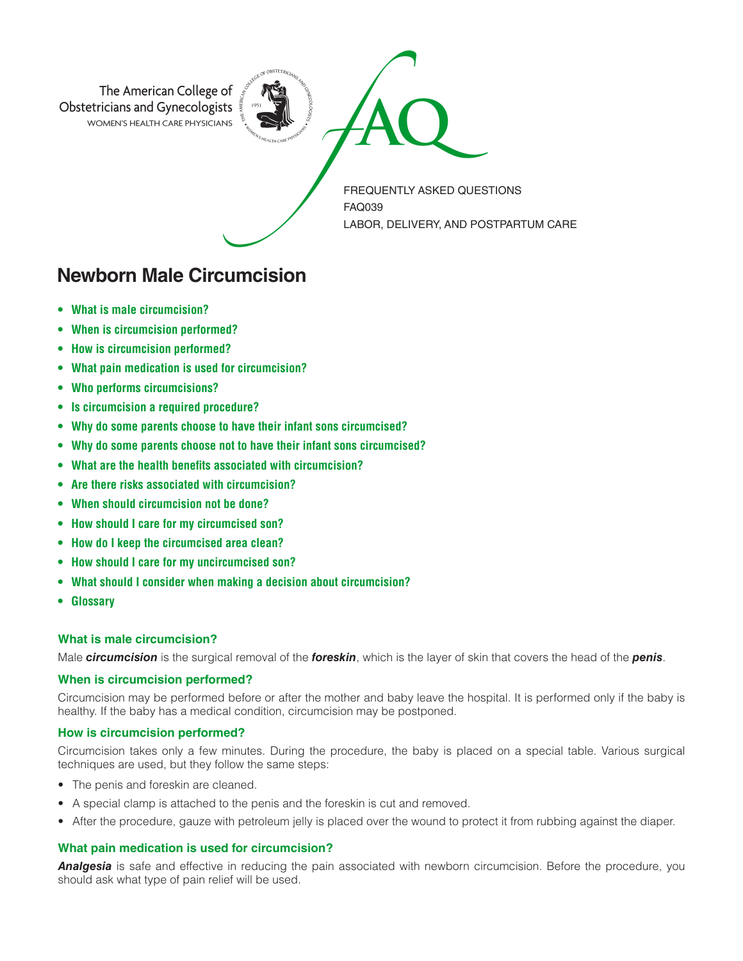

**Newborn Male Circumcision**

- **What is male circumcision?**
- **When is circumcision performed?**
- **How is circumcision performed?**
- **What pain medication is used for circumcision?**
- **Who performs circumcisions?**
- **Is circumcision a required procedure?**
- **Why do some parents choose to have their infant sons circumcised?**
- **Why do some parents choose not to have their infant sons circumcised?**
- **What are the health benefits associated with circumcision?**
- **Are there risks associated with circumcision?**
- **When should circumcision not be done?**
- **How should I care for my circumcised son?**
- **How do I keep the circumcised area clean?**
- **How should I care for my uncircumcised son?**
- **What should I consider when making a decision about circumcision?**
- **Glossary**

### **What is male circumcision?**

Male *circumcision* is the surgical removal of the *foreskin*, which is the layer of skin that covers the head of the *penis*.

# **When is circumcision performed?**

Circumcision may be performed before or after the mother and baby leave the hospital. It is performed only if the baby is healthy. If the baby has a medical condition, circumcision may be postponed.

# **How is circumcision performed?**

Circumcision takes only a few minutes. During the procedure, the baby is placed on a special table. Various surgical techniques are used, but they follow the same steps:

- The penis and foreskin are cleaned.
- A special clamp is attached to the penis and the foreskin is cut and removed.
- After the procedure, gauze with petroleum jelly is placed over the wound to protect it from rubbing against the diaper.

# **What pain medication is used for circumcision?**

*Analgesia* is safe and effective in reducing the pain associated with newborn circumcision. Before the procedure, you should ask what type of pain relief will be used.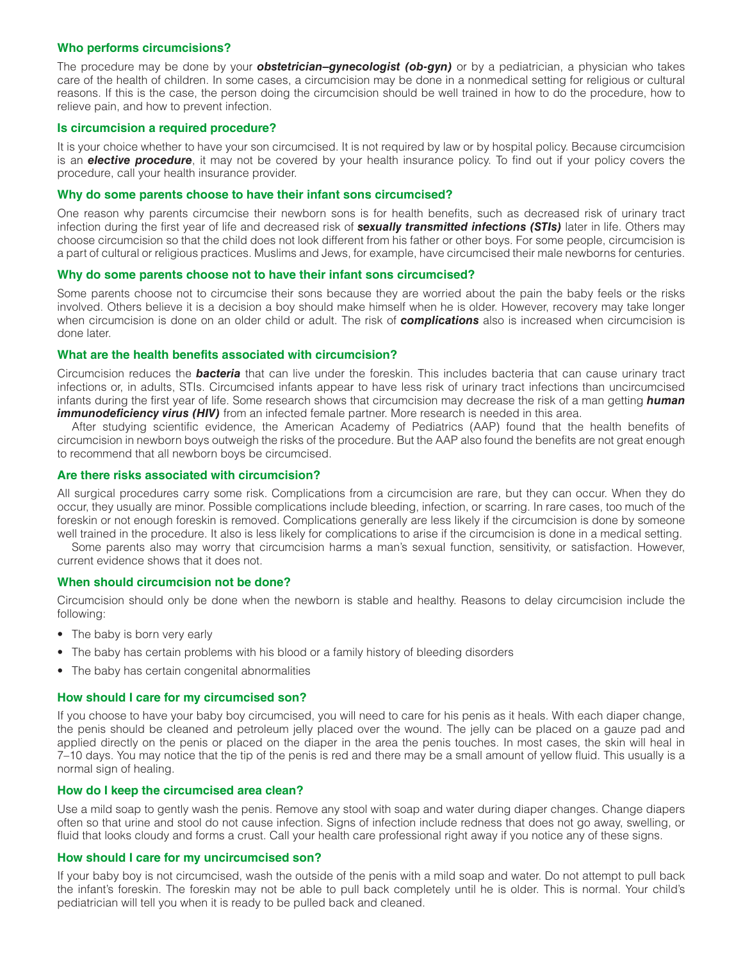### **Who performs circumcisions?**

The procedure may be done by your *obstetrician–gynecologist (ob-gyn)* or by a pediatrician, a physician who takes care of the health of children. In some cases, a circumcision may be done in a nonmedical setting for religious or cultural reasons. If this is the case, the person doing the circumcision should be well trained in how to do the procedure, how to relieve pain, and how to prevent infection.

## **Is circumcision a required procedure?**

It is your choice whether to have your son circumcised. It is not required by law or by hospital policy. Because circumcision is an *elective procedure*, it may not be covered by your health insurance policy. To find out if your policy covers the procedure, call your health insurance provider.

### **Why do some parents choose to have their infant sons circumcised?**

One reason why parents circumcise their newborn sons is for health benefits, such as decreased risk of urinary tract infection during the first year of life and decreased risk of *sexually transmitted infections (STIs)* later in life. Others may choose circumcision so that the child does not look different from his father or other boys. For some people, circumcision is a part of cultural or religious practices. Muslims and Jews, for example, have circumcised their male newborns for centuries.

#### **Why do some parents choose not to have their infant sons circumcised?**

Some parents choose not to circumcise their sons because they are worried about the pain the baby feels or the risks involved. Others believe it is a decision a boy should make himself when he is older. However, recovery may take longer when circumcision is done on an older child or adult. The risk of *complications* also is increased when circumcision is done later.

## **What are the health benefits associated with circumcision?**

Circumcision reduces the *bacteria* that can live under the foreskin. This includes bacteria that can cause urinary tract infections or, in adults, STIs. Circumcised infants appear to have less risk of urinary tract infections than uncircumcised infants during the first year of life. Some research shows that circumcision may decrease the risk of a man getting *human immunodeficiency virus (HIV)* from an infected female partner. More research is needed in this area.

After studying scientific evidence, the American Academy of Pediatrics (AAP) found that the health benefits of circumcision in newborn boys outweigh the risks of the procedure. But the AAP also found the benefits are not great enough to recommend that all newborn boys be circumcised.

# **Are there risks associated with circumcision?**

All surgical procedures carry some risk. Complications from a circumcision are rare, but they can occur. When they do occur, they usually are minor. Possible complications include bleeding, infection, or scarring. In rare cases, too much of the foreskin or not enough foreskin is removed. Complications generally are less likely if the circumcision is done by someone well trained in the procedure. It also is less likely for complications to arise if the circumcision is done in a medical setting.

Some parents also may worry that circumcision harms a man's sexual function, sensitivity, or satisfaction. However, current evidence shows that it does not.

#### **When should circumcision not be done?**

Circumcision should only be done when the newborn is stable and healthy. Reasons to delay circumcision include the following:

- The baby is born very early
- The baby has certain problems with his blood or a family history of bleeding disorders
- The baby has certain congenital abnormalities

# **How should I care for my circumcised son?**

If you choose to have your baby boy circumcised, you will need to care for his penis as it heals. With each diaper change, the penis should be cleaned and petroleum jelly placed over the wound. The jelly can be placed on a gauze pad and applied directly on the penis or placed on the diaper in the area the penis touches. In most cases, the skin will heal in 7–10 days. You may notice that the tip of the penis is red and there may be a small amount of yellow fluid. This usually is a normal sign of healing.

#### **How do I keep the circumcised area clean?**

Use a mild soap to gently wash the penis. Remove any stool with soap and water during diaper changes. Change diapers often so that urine and stool do not cause infection. Signs of infection include redness that does not go away, swelling, or fluid that looks cloudy and forms a crust. Call your health care professional right away if you notice any of these signs.

#### **How should I care for my uncircumcised son?**

If your baby boy is not circumcised, wash the outside of the penis with a mild soap and water. Do not attempt to pull back the infant's foreskin. The foreskin may not be able to pull back completely until he is older. This is normal. Your child's pediatrician will tell you when it is ready to be pulled back and cleaned.